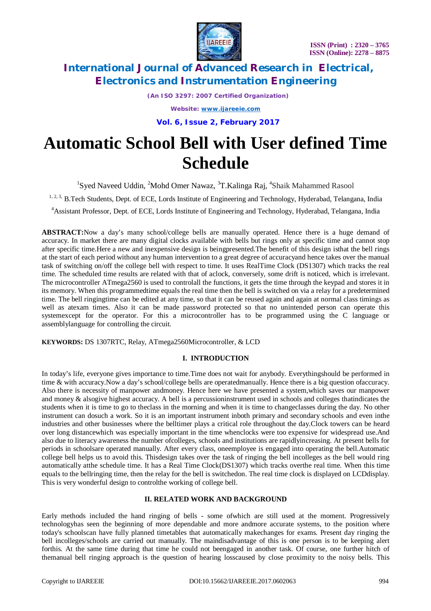

*(An ISO 3297: 2007 Certified Organization)*

*Website: [www.ijareeie.com](http://www.ijareeie.com)*

**Vol. 6, Issue 2, February 2017**

# **Automatic School Bell with User defined Time Schedule**

<sup>1</sup>Syed Naveed Uddin, <sup>2</sup>Mohd Omer Nawaz, <sup>3</sup>T.Kalinga Raj, <sup>4</sup>Shaik Mahammed Rasool

<sup>1, 2, 3,</sup> B.Tech Students, Dept. of ECE, Lords Institute of Engineering and Technology, Hyderabad, Telangana, India

<sup>4</sup>Assistant Professor, Dept. of ECE, Lords Institute of Engineering and Technology, Hyderabad, Telangana, India

**ABSTRACT:**Now a day's many school/college bells are manually operated. Hence there is a huge demand of accuracy. In market there are many digital clocks available with bells but rings only at specific time and cannot stop after specific time.Here a new and inexpensive design is beingpresented.The benefit of this design isthat the bell rings at the start of each period without any human intervention to a great degree of accuracyand hence takes over the manual task of switching on/off the college bell with respect to time. It uses RealTime Clock (DS1307) which tracks the real time. The scheduled time results are related with that of aclock, conversely, some drift is noticed, which is irrelevant. The microcontroller ATmega2560 is used to controlall the functions, it gets the time through the keypad and stores it in its memory. When this programmedtime equals the real time then the bell is switched on via a relay for a predetermined time. The bell ringingtime can be edited at any time, so that it can be reused again and again at normal class timings as well as atexam times. Also it can be made password protected so that no unintended person can operate this systemexcept for the operator. For this a microcontroller has to be programmed using the C language or assemblylanguage for controlling the circuit.

**KEYWORDS:** DS 1307RTC, Relay, ATmega2560Microcontroller, & LCD

#### **I. INTRODUCTION**

In today's life, everyone gives importance to time.Time does not wait for anybody. Everythingshould be performed in time & with accuracy.Now a day's school/college bells are operatedmanually. Hence there is a big question ofaccuracy. Also there is necessity of manpower andmoney. Hence here we have presented a system,which saves our manpower and money & alsogive highest accuracy. A bell is a percussioninstrument used in schools and colleges thatindicates the students when it is time to go to theclass in the morning and when it is time to changeclasses during the day. No other instrument can dosuch a work. So it is an important instrument inboth primary and secondary schools and even inthe industries and other businesses where the belltimer plays a critical role throughout the day.Clock towers can be heard over long distancewhich was especially important in the time whenclocks were too expensive for widespread use.And also due to literacy awareness the number ofcolleges, schools and institutions are rapidlyincreasing. At present bells for periods in schoolsare operated manually. After every class, oneemployee is engaged into operating the bell.Automatic college bell helps us to avoid this. Thisdesign takes over the task of ringing the bell incolleges as the bell would ring automatically atthe schedule time. It has a Real Time Clock(DS1307) which tracks overthe real time. When this time equals to the bellringing time, then the relay for the bell is switchedon. The real time clock is displayed on LCDdisplay. This is very wonderful design to controlthe working of college bell.

#### **II. RELATED WORK AND BACKGROUND**

Early methods included the hand ringing of bells - some ofwhich are still used at the moment. Progressively technologyhas seen the beginning of more dependable and more andmore accurate systems, to the position where today's schoolscan have fully planned timetables that automatically makechanges for exams. Present day ringing the bell incolleges/schools are carried out manually. The maindisadvantage of this is one person is to be keeping alert forthis. At the same time during that time he could not beengaged in another task. Of course, one further hitch of themanual bell ringing approach is the question of hearing losscaused by close proximity to the noisy bells. This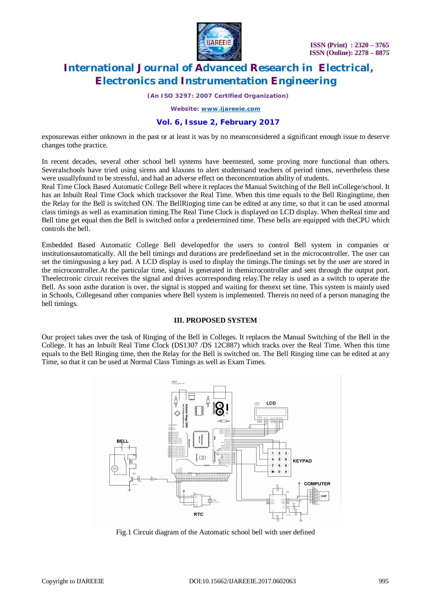

*(An ISO 3297: 2007 Certified Organization)*

*Website: [www.ijareeie.com](http://www.ijareeie.com)*

#### **Vol. 6, Issue 2, February 2017**

exposurewas either unknown in the past or at least it was by no meansconsidered a significant enough issue to deserve changes tothe practice.

In recent decades, several other school bell systems have beentested, some proving more functional than others. Severalschools have tried using sirens and klaxons to alert studentsand teachers of period times, nevertheless these were usuallyfound to be stressful, and had an adverse effect on theconcentration ability of students.

Real Time Clock Based Automatic College Bell where it replaces the Manual Switching of the Bell inCollege/school. It has an Inbuilt Real Time Clock which tracksover the Real Time. When this time equals to the Bell Ringingtime, then the Relay for the Bell is switched ON. The BellRinging time can be edited at any time, so that it can be used atnormal class timings as well as examination timing.The Real Time Clock is displayed on LCD display. When theReal time and Bell time get equal then the Bell is switched onfor a predetermined time. These bells are equipped with theCPU which controls the bell.

Embedded Based Automatic College Bell developedfor the users to control Bell system in companies or institutionsautomatically. All the bell timings and durations are predefinedand set in the microcontroller. The user can set the timingsusing a key pad. A LCD display is used to display the timings.The timings set by the user are stored in the microcontroller.At the particular time, signal is generated in themicrocontroller and sent through the output port. Theelectronic circuit receives the signal and drives acorresponding relay.The relay is used as a switch to operate the Bell. As soon asthe duration is over, the signal is stopped and waiting for thenext set time. This system is mainly used in Schools, Collegesand other companies where Bell system is implemented. Thereis no need of a person managing the bell timings.

#### **III. PROPOSED SYSTEM**

Our project takes over the task of Ringing of the Bell in Colleges. It replaces the Manual Switching of the Bell in the College. It has an Inbuilt Real Time Clock (DS1307 /DS 12C887) which tracks over the Real Time. When this time equals to the Bell Ringing time, then the Relay for the Bell is switched on. The Bell Ringing time can be edited at any Time, so that it can be used at Normal Class Timings as well as Exam Times.



Fig.1 Circuit diagram of the Automatic school bell with user defined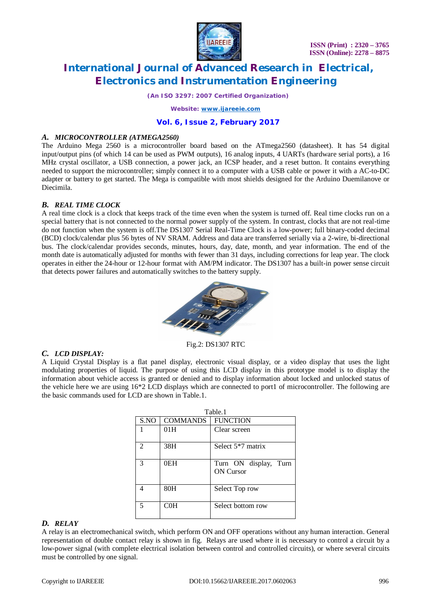

*(An ISO 3297: 2007 Certified Organization)*

*Website: [www.ijareeie.com](http://www.ijareeie.com)*

## **Vol. 6, Issue 2, February 2017**

### *A. MICROCONTROLLER (ATMEGA2560)*

The Arduino Mega 2560 is a microcontroller board based on the ATmega2560 (datasheet). It has 54 digital input/output pins (of which 14 can be used as PWM outputs), 16 analog inputs, 4 UARTs (hardware serial ports), a 16 MHz crystal oscillator, a USB connection, a power jack, an ICSP header, and a reset button. It contains everything needed to support the microcontroller; simply connect it to a computer with a USB cable or power it with a AC-to-DC adapter or battery to get started. The Mega is compatible with most shields designed for the Arduino Duemilanove or Diecimila.

## *B. REAL TIME CLOCK*

A real time clock is a clock that keeps track of the time even when the system is turned off. Real time clocks run on a special battery that is not connected to the normal power supply of the system. In contrast, clocks that are not real-time do not function when the system is off.The DS1307 Serial Real-Time Clock is a low-power; full binary-coded decimal (BCD) clock/calendar plus 56 bytes of NV SRAM. Address and data are transferred serially via a 2-wire, bi-directional bus. The clock/calendar provides seconds, minutes, hours, day, date, month, and year information. The end of the month date is automatically adjusted for months with fewer than 31 days, including corrections for leap year. The clock operates in either the 24-hour or 12-hour format with AM/PM indicator. The DS1307 has a built-in power sense circuit that detects power failures and automatically switches to the battery supply.



Fig.2: DS1307 RTC

## *C. LCD DISPLAY:*

A Liquid Crystal Display is a flat panel display, electronic visual display, or a video display that uses the light modulating properties of liquid. The purpose of using this LCD display in this prototype model is to display the information about vehicle access is granted or denied and to display information about locked and unlocked status of the vehicle here we are using 16\*2 LCD displays which are connected to port1 of microcontroller. The following are the basic commands used for LCD are shown in Table.1.

| Table.1 |                 |                                           |
|---------|-----------------|-------------------------------------------|
| S.NO    | <b>COMMANDS</b> | <b>FUNCTION</b>                           |
|         | 01H             | Clear screen                              |
|         | 38H             | Select $5*7$ matrix                       |
| 3       | 0EH             | Turn ON display, Turn<br><b>ON</b> Cursor |
|         | 80H             | Select Top row                            |
|         | COH             | Select bottom row                         |

## *D. RELAY*

A relay is an electromechanical switch, which perform ON and OFF operations without any human interaction. General representation of double contact relay is shown in fig. Relays are used where it is necessary to control a circuit by a low-power signal (with complete electrical isolation between control and controlled circuits), or where several circuits must be controlled by one signal.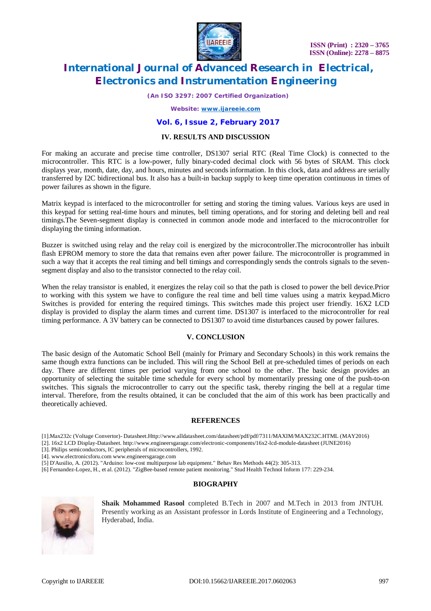

*(An ISO 3297: 2007 Certified Organization)*

*Website: [www.ijareeie.com](http://www.ijareeie.com)*

### **Vol. 6, Issue 2, February 2017**

#### **IV. RESULTS AND DISCUSSION**

For making an accurate and precise time controller, DS1307 serial RTC (Real Time Clock) is connected to the microcontroller. This RTC is a low-power, fully binary-coded decimal clock with 56 bytes of SRAM. This clock displays year, month, date, day, and hours, minutes and seconds information. In this clock, data and address are serially transferred by I2C bidirectional bus. It also has a built-in backup supply to keep time operation continuous in times of power failures as shown in the figure.

Matrix keypad is interfaced to the microcontroller for setting and storing the timing values. Various keys are used in this keypad for setting real-time hours and minutes, bell timing operations, and for storing and deleting bell and real timings.The Seven-segment display is connected in common anode mode and interfaced to the microcontroller for displaying the timing information.

Buzzer is switched using relay and the relay coil is energized by the microcontroller.The microcontroller has inbuilt flash EPROM memory to store the data that remains even after power failure. The microcontroller is programmed in such a way that it accepts the real timing and bell timings and correspondingly sends the controls signals to the sevensegment display and also to the transistor connected to the relay coil.

When the relay transistor is enabled, it energizes the relay coil so that the path is closed to power the bell device.Prior to working with this system we have to configure the real time and bell time values using a matrix keypad.Micro Switches is provided for entering the required timings. This switches made this project user friendly. 16X2 LCD display is provided to display the alarm times and current time. DS1307 is interfaced to the microcontroller for real timing performance. A 3V battery can be connected to DS1307 to avoid time disturbances caused by power failures.

#### **V. CONCLUSION**

The basic design of the Automatic School Bell (mainly for Primary and Secondary Schools) in this work remains the same though extra functions can be included. This will ring the School Bell at pre-scheduled times of periods on each day. There are different times per period varying from one school to the other. The basic design provides an opportunity of selecting the suitable time schedule for every school by momentarily pressing one of the push-to-on switches. This signals the microcontroller to carry out the specific task, thereby ringing the bell at a regular time interval. Therefore, from the results obtained, it can be concluded that the aim of this work has been practically and theoretically achieved.

#### **REFERENCES**

[1].Max232c (Voltage Convertor)- Datasheet.Http:/[/www.alldatasheet.com/datasheet/pdf/pdf/7311/MAXIM/MAX232C.HTML](http://www.alldatasheet.com/datasheet/pdf/pdf/7311/MAXIM/MAX232C.HTML) (MAY2016)

[2]. 16x2 LCD Display-Datasheet. <http://www.engineersgarage.com/electronic-components/16x2-lcd-module-datasheet>(JUNE2016)

[3]. Philips semiconductors, IC peripherals of microcontrollers, 1992.

[4]. [www.electronicsforu.com](http://www.electronicsforu.com) [www.engineersgarage.com](http://www.engineersgarage.com)

[5] D'Ausilio, A. (2012). "Arduino: low-cost multipurpose lab equipment." Behav Res Methods 44(2): 305-313.

[6] Fernandez-Lopez, H., et al. (2012). "ZigBee-based remote patient monitoring." Stud Health Technol Inform 177: 229-234.

## **BIOGRAPHY**



**Shaik Mohammed Rasool** completed B.Tech in 2007 and M.Tech in 2013 from JNTUH. Presently working as an Assistant professor in Lords Institute of Engineering and a Technology, Hyderabad, India.